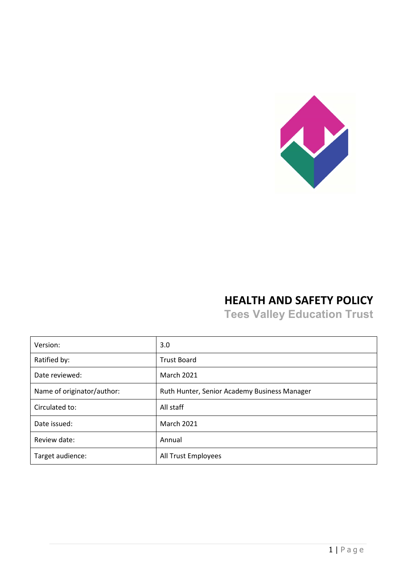

# **HEALTH AND SAFETY POLICY**

**Tees Valley Education Trust**

| Version:                   | 3.0                                          |
|----------------------------|----------------------------------------------|
| Ratified by:               | <b>Trust Board</b>                           |
| Date reviewed:             | <b>March 2021</b>                            |
| Name of originator/author: | Ruth Hunter, Senior Academy Business Manager |
| Circulated to:             | All staff                                    |
| Date issued:               | <b>March 2021</b>                            |
| Review date:               | Annual                                       |
| Target audience:           | All Trust Employees                          |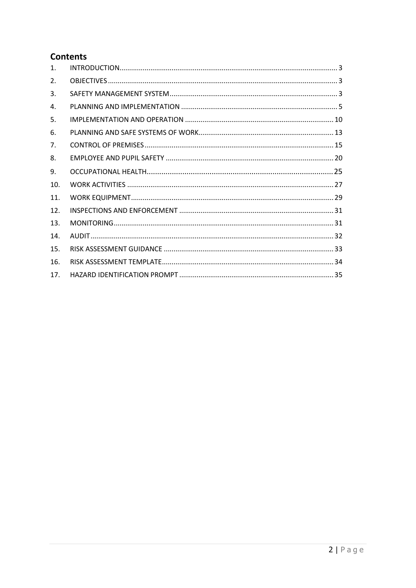## **Contents**

| $\mathbf{1}$ .  |  |
|-----------------|--|
| 2.              |  |
| 3.              |  |
| 4.              |  |
| 5.              |  |
| 6.              |  |
| 7 <sub>1</sub>  |  |
| 8.              |  |
| 9.              |  |
| 10.             |  |
| 11.             |  |
| 12.             |  |
| 13.             |  |
| 14              |  |
| 15.             |  |
| 16.             |  |
| 17 <sub>1</sub> |  |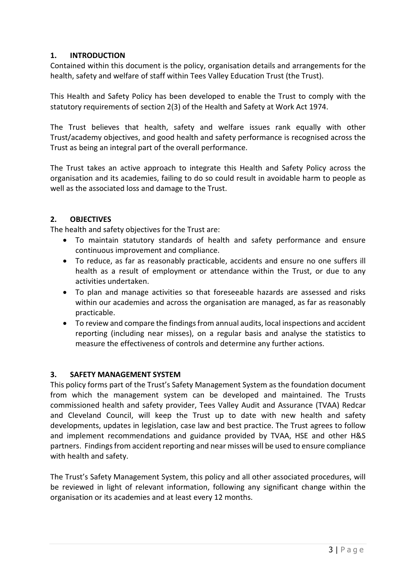## <span id="page-2-0"></span>**1. INTRODUCTION**

Contained within this document is the policy, organisation details and arrangements for the health, safety and welfare of staff within Tees Valley Education Trust (the Trust).

This Health and Safety Policy has been developed to enable the Trust to comply with the statutory requirements of section 2(3) of the Health and Safety at Work Act 1974.

The Trust believes that health, safety and welfare issues rank equally with other Trust/academy objectives, and good health and safety performance is recognised across the Trust as being an integral part of the overall performance.

The Trust takes an active approach to integrate this Health and Safety Policy across the organisation and its academies, failing to do so could result in avoidable harm to people as well as the associated loss and damage to the Trust.

## <span id="page-2-1"></span>**2. OBJECTIVES**

The health and safety objectives for the Trust are:

- To maintain statutory standards of health and safety performance and ensure continuous improvement and compliance.
- To reduce, as far as reasonably practicable, accidents and ensure no one suffers ill health as a result of employment or attendance within the Trust, or due to any activities undertaken.
- To plan and manage activities so that foreseeable hazards are assessed and risks within our academies and across the organisation are managed, as far as reasonably practicable.
- To review and compare the findings from annual audits, local inspections and accident reporting (including near misses), on a regular basis and analyse the statistics to measure the effectiveness of controls and determine any further actions.

#### <span id="page-2-2"></span>**3. SAFETY MANAGEMENT SYSTEM**

This policy forms part of the Trust's Safety Management System as the foundation document from which the management system can be developed and maintained. The Trusts commissioned health and safety provider, Tees Valley Audit and Assurance (TVAA) Redcar and Cleveland Council, will keep the Trust up to date with new health and safety developments, updates in legislation, case law and best practice. The Trust agrees to follow and implement recommendations and guidance provided by TVAA, HSE and other H&S partners. Findings from accident reporting and near misses will be used to ensure compliance with health and safety.

The Trust's Safety Management System, this policy and all other associated procedures, will be reviewed in light of relevant information, following any significant change within the organisation or its academies and at least every 12 months.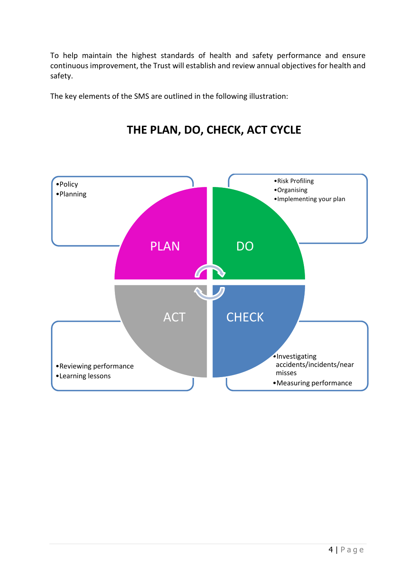To help maintain the highest standards of health and safety performance and ensure continuous improvement, the Trust will establish and review annual objectives for health and safety.

The key elements of the SMS are outlined in the following illustration:



# **THE PLAN, DO, CHECK, ACT CYCLE**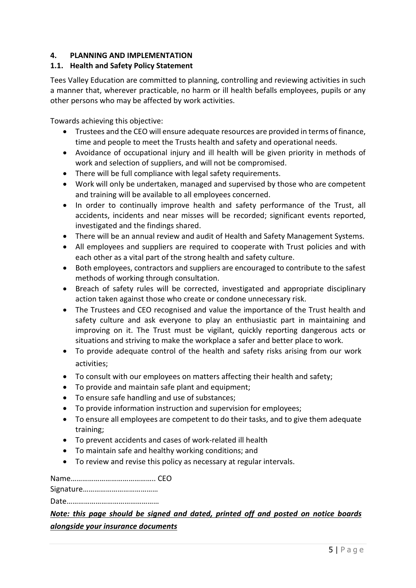## <span id="page-4-0"></span>**4. PLANNING AND IMPLEMENTATION**

## **1.1. Health and Safety Policy Statement**

Tees Valley Education are committed to planning, controlling and reviewing activities in such a manner that, wherever practicable, no harm or ill health befalls employees, pupils or any other persons who may be affected by work activities.

Towards achieving this objective:

- Trustees and the CEO will ensure adequate resources are provided in terms of finance, time and people to meet the Trusts health and safety and operational needs.
- Avoidance of occupational injury and ill health will be given priority in methods of work and selection of suppliers, and will not be compromised.
- There will be full compliance with legal safety requirements.
- Work will only be undertaken, managed and supervised by those who are competent and training will be available to all employees concerned.
- In order to continually improve health and safety performance of the Trust, all accidents, incidents and near misses will be recorded; significant events reported, investigated and the findings shared.
- There will be an annual review and audit of Health and Safety Management Systems.
- All employees and suppliers are required to cooperate with Trust policies and with each other as a vital part of the strong health and safety culture.
- Both employees, contractors and suppliers are encouraged to contribute to the safest methods of working through consultation.
- Breach of safety rules will be corrected, investigated and appropriate disciplinary action taken against those who create or condone unnecessary risk.
- The Trustees and CEO recognised and value the importance of the Trust health and safety culture and ask everyone to play an enthusiastic part in maintaining and improving on it. The Trust must be vigilant, quickly reporting dangerous acts or situations and striving to make the workplace a safer and better place to work.
- To provide adequate control of the health and safety risks arising from our work activities;
- To consult with our employees on matters affecting their health and safety;
- To provide and maintain safe plant and equipment:
- To ensure safe handling and use of substances;
- To provide information instruction and supervision for employees;
- To ensure all employees are competent to do their tasks, and to give them adequate training;
- To prevent accidents and cases of work-related ill health
- To maintain safe and healthy working conditions; and
- To review and revise this policy as necessary at regular intervals.

Name…………………………………….. CEO

Signature…………………………………

Date…………………………………………

## *Note: this page should be signed and dated, printed off and posted on notice boards alongside your insurance documents*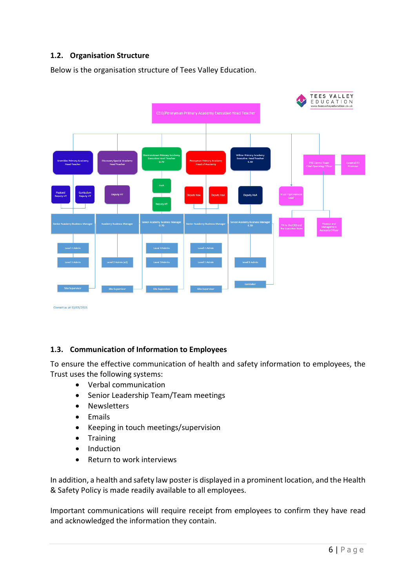## **1.2. Organisation Structure**

Below is the organisation structure of Tees Valley Education.



#### **1.3. Communication of Information to Employees**

To ensure the effective communication of health and safety information to employees, the Trust uses the following systems:

- Verbal communication
- Senior Leadership Team/Team meetings
- Newsletters
- Emails
- Keeping in touch meetings/supervision
- Training
- Induction
- Return to work interviews

In addition, a health and safety law poster is displayed in a prominent location, and the Health & Safety Policy is made readily available to all employees.

Important communications will require receipt from employees to confirm they have read and acknowledged the information they contain.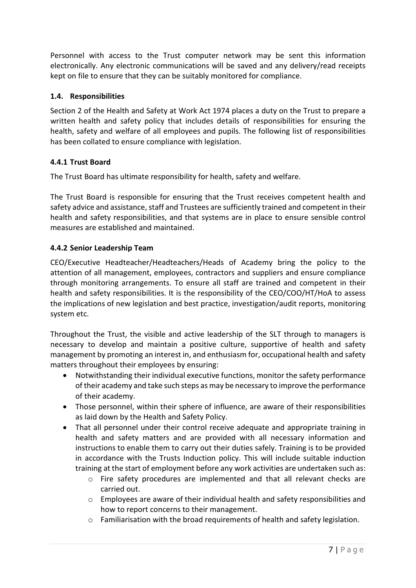Personnel with access to the Trust computer network may be sent this information electronically. Any electronic communications will be saved and any delivery/read receipts kept on file to ensure that they can be suitably monitored for compliance.

## **1.4. Responsibilities**

Section 2 of the Health and Safety at Work Act 1974 places a duty on the Trust to prepare a written health and safety policy that includes details of responsibilities for ensuring the health, safety and welfare of all employees and pupils. The following list of responsibilities has been collated to ensure compliance with legislation.

## **4.4.1 Trust Board**

The Trust Board has ultimate responsibility for health, safety and welfare.

The Trust Board is responsible for ensuring that the Trust receives competent health and safety advice and assistance, staff and Trustees are sufficiently trained and competent in their health and safety responsibilities, and that systems are in place to ensure sensible control measures are established and maintained.

## **4.4.2 Senior Leadership Team**

CEO/Executive Headteacher/Headteachers/Heads of Academy bring the policy to the attention of all management, employees, contractors and suppliers and ensure compliance through monitoring arrangements. To ensure all staff are trained and competent in their health and safety responsibilities. It is the responsibility of the CEO/COO/HT/HoA to assess the implications of new legislation and best practice, investigation/audit reports, monitoring system etc.

Throughout the Trust, the visible and active leadership of the SLT through to managers is necessary to develop and maintain a positive culture, supportive of health and safety management by promoting an interest in, and enthusiasm for, occupational health and safety matters throughout their employees by ensuring:

- Notwithstanding their individual executive functions, monitor the safety performance of their academy and take such steps as may be necessary to improve the performance of their academy.
- Those personnel, within their sphere of influence, are aware of their responsibilities as laid down by the Health and Safety Policy.
- That all personnel under their control receive adequate and appropriate training in health and safety matters and are provided with all necessary information and instructions to enable them to carry out their duties safely. Training is to be provided in accordance with the Trusts Induction policy. This will include suitable induction training at the start of employment before any work activities are undertaken such as:
	- o Fire safety procedures are implemented and that all relevant checks are carried out.
	- $\circ$  Employees are aware of their individual health and safety responsibilities and how to report concerns to their management.
	- o Familiarisation with the broad requirements of health and safety legislation.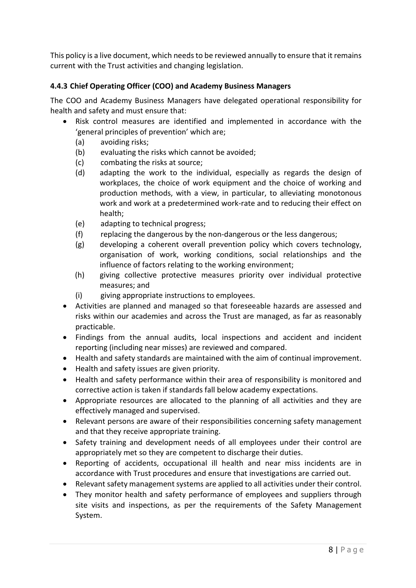This policy is a live document, which needs to be reviewed annually to ensure that it remains current with the Trust activities and changing legislation.

## **4.4.3 Chief Operating Officer (COO) and Academy Business Managers**

The COO and Academy Business Managers have delegated operational responsibility for health and safety and must ensure that:

- Risk control measures are identified and implemented in accordance with the 'general principles of prevention' which are;
	- (a) avoiding risks;
	- (b) evaluating the risks which cannot be avoided;
	- (c) combating the risks at source;
	- (d) adapting the work to the individual, especially as regards the design of workplaces, the choice of work equipment and the choice of working and production methods, with a view, in particular, to alleviating monotonous work and work at a predetermined work-rate and to reducing their effect on health;
	- (e) adapting to technical progress;
	- (f) replacing the dangerous by the non-dangerous or the less dangerous;
	- (g) developing a coherent overall prevention policy which covers technology, organisation of work, working conditions, social relationships and the influence of factors relating to the working environment;
	- (h) giving collective protective measures priority over individual protective measures; and
	- (i) giving appropriate instructions to employees.
- Activities are planned and managed so that foreseeable hazards are assessed and risks within our academies and across the Trust are managed, as far as reasonably practicable.
- Findings from the annual audits, local inspections and accident and incident reporting (including near misses) are reviewed and compared.
- Health and safety standards are maintained with the aim of continual improvement.
- Health and safety issues are given priority.
- Health and safety performance within their area of responsibility is monitored and corrective action is taken if standards fall below academy expectations.
- Appropriate resources are allocated to the planning of all activities and they are effectively managed and supervised.
- Relevant persons are aware of their responsibilities concerning safety management and that they receive appropriate training.
- Safety training and development needs of all employees under their control are appropriately met so they are competent to discharge their duties.
- Reporting of accidents, occupational ill health and near miss incidents are in accordance with Trust procedures and ensure that investigations are carried out.
- Relevant safety management systems are applied to all activities under their control.
- They monitor health and safety performance of employees and suppliers through site visits and inspections, as per the requirements of the Safety Management System.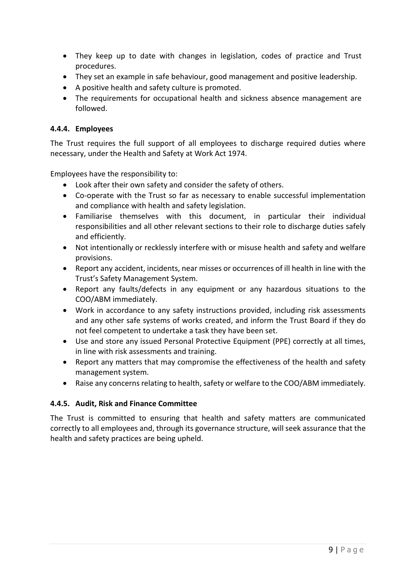- They keep up to date with changes in legislation, codes of practice and Trust procedures.
- They set an example in safe behaviour, good management and positive leadership.
- A positive health and safety culture is promoted.
- The requirements for occupational health and sickness absence management are followed.

#### **4.4.4. Employees**

The Trust requires the full support of all employees to discharge required duties where necessary, under the Health and Safety at Work Act 1974.

Employees have the responsibility to:

- Look after their own safety and consider the safety of others.
- Co-operate with the Trust so far as necessary to enable successful implementation and compliance with health and safety legislation.
- Familiarise themselves with this document, in particular their individual responsibilities and all other relevant sections to their role to discharge duties safely and efficiently.
- Not intentionally or recklessly interfere with or misuse health and safety and welfare provisions.
- Report any accident, incidents, near misses or occurrences of ill health in line with the Trust's Safety Management System.
- Report any faults/defects in any equipment or any hazardous situations to the COO/ABM immediately.
- Work in accordance to any safety instructions provided, including risk assessments and any other safe systems of works created, and inform the Trust Board if they do not feel competent to undertake a task they have been set.
- Use and store any issued Personal Protective Equipment (PPE) correctly at all times, in line with risk assessments and training.
- Report any matters that may compromise the effectiveness of the health and safety management system.
- Raise any concerns relating to health, safety or welfare to the COO/ABM immediately.

#### **4.4.5. Audit, Risk and Finance Committee**

The Trust is committed to ensuring that health and safety matters are communicated correctly to all employees and, through its governance structure, will seek assurance that the health and safety practices are being upheld.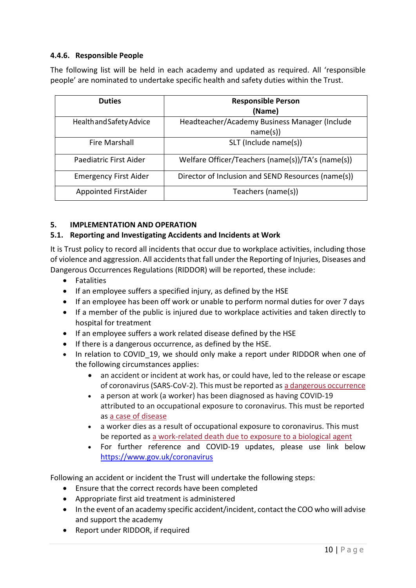## **4.4.6. Responsible People**

The following list will be held in each academy and updated as required. All 'responsible people' are nominated to undertake specific health and safety duties within the Trust.

| <b>Duties</b>                | <b>Responsible Person</b>                          |
|------------------------------|----------------------------------------------------|
|                              | (Name)                                             |
| Health and Safety Advice     | Headteacher/Academy Business Manager (Include      |
|                              | name(s)                                            |
| <b>Fire Marshall</b>         | SLT (Include name(s))                              |
| Paediatric First Aider       | Welfare Officer/Teachers (name(s))/TA's (name(s))  |
| <b>Emergency First Aider</b> | Director of Inclusion and SEND Resources (name(s)) |
| Appointed FirstAider         | Teachers (name(s))                                 |

#### <span id="page-9-0"></span>**5. IMPLEMENTATION AND OPERATION**

#### **5.1. Reporting and Investigating Accidents and Incidents at Work**

It is Trust policy to record all incidents that occur due to workplace activities, including those of violence and aggression. All accidents that fall under the Reporting of Injuries, Diseases and Dangerous Occurrences Regulations (RIDDOR) will be reported, these include:

- Fatalities
- If an employee suffers a specified injury, as defined by the HSE
- If an employee has been off work or unable to perform normal duties for over 7 days
- If a member of the public is injured due to workplace activities and taken directly to hospital for treatment
- If an employee suffers a work related disease defined by the HSE
- If there is a dangerous occurrence, as defined by the HSE.
- In relation to COVID 19, we should only make a report under RIDDOR when one of the following circumstances applies:
	- an accident or incident at work has, or could have, led to the release or escape of coronavirus (SARS-CoV-2). This must be reported as a dangerous [occurrence](https://www.hse.gov.uk/coronavirus/riddor/index.htm#dangerous)
	- a person at work (a worker) has been diagnosed as having COVID-19 attributed to an occupational exposure to coronavirus. This must be reported as a case of [disease](https://www.hse.gov.uk/coronavirus/riddor/index.htm#disease)
	- a worker dies as a result of occupational exposure to coronavirus. This must be reported as a [work-related](https://www.hse.gov.uk/coronavirus/riddor/index.htm#death) death due to exposure to a biological agent
	- For further reference and COVID-19 updates, please use link below <https://www.gov.uk/coronavirus>

Following an accident or incident the Trust will undertake the following steps:

- Ensure that the correct records have been completed
- Appropriate first aid treatment is administered
- In the event of an academy specific accident/incident, contact the COO who will advise and support the academy
- Report under RIDDOR, if required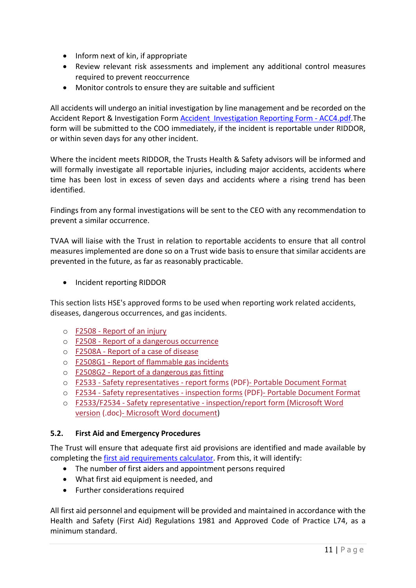- Inform next of kin, if appropriate
- Review relevant risk assessments and implement any additional control measures required to prevent reoccurrence
- Monitor controls to ensure they are suitable and sufficient

All accidents will undergo an initial investigation by line management and be recorded on the Accident Report & Investigation Form Accident Investigation Reporting Form - ACC4.pdf.The form will be submitted to the COO immediately, if the incident is reportable under RIDDOR, or within seven days for any other incident.

Where the incident meets RIDDOR, the Trusts Health & Safety advisors will be informed and will formally investigate all reportable injuries, including major accidents, accidents where time has been lost in excess of seven days and accidents where a rising trend has been identified.

Findings from any formal investigations will be sent to the CEO with any recommendation to prevent a similar occurrence.

TVAA will liaise with the Trust in relation to reportable accidents to ensure that all control measures implemented are done so on a Trust wide basis to ensure that similar accidents are prevented in the future, as far as reasonably practicable.

• Incident reporting RIDDOR

This section lists HSE's approved forms to be used when reporting work related accidents, diseases, dangerous occurrences, and gas incidents.

- o F2508 [Report](https://extranet.hse.gov.uk/lfserver/external/F2508IE) of an injury
- o F2508 Report of a dangerous [occurrence](https://extranet.hse.gov.uk/lfserver/external/F2508DOE)
- o [F2508A](https://extranet.hse.gov.uk/lfserver/external/F2508AE) Report of a case of disease
- o F2508G1 Report of [flammable](https://extranet.hse.gov.uk/lfserver/external/F2508G1E) gas incidents
- o F2508G2 Report of a [dangerous](https://extranet.hse.gov.uk/lfserver/external/F2508G2E) gas fitting
- o F2533 Safety [representatives](https://www.hse.gov.uk/forms/incident/f2533.pdf) report forms (PDF)- Portable Document Format
- o F2534 Safety [representatives](https://www.hse.gov.uk/forms/incident/f2534.pdf) inspection forms (PDF)- Portable Document Format
- o F2533/F2534 Safety representative [inspection/report](https://www.hse.gov.uk/forms/incident/f2533-f2534.doc) form (Microsoft Word version (.doc)- Microsoft Word [document\)](https://www.hse.gov.uk/forms/incident/f2533-f2534.doc)

#### **5.2. First Aid and Emergency Procedures**

The Trust will ensure that adequate first aid provisions are identified and made available by completing the [first aid requirements calculator.](https://www.sja.org.uk/sja/first-aid-training-courses/requirements-calculator/calculator.aspx) From this, it will identify:

- The number of first aiders and appointment persons required
- What first aid equipment is needed, and
- Further considerations required

All first aid personnel and equipment will be provided and maintained in accordance with the Health and Safety (First Aid) Regulations 1981 and Approved Code of Practice L74, as a minimum standard.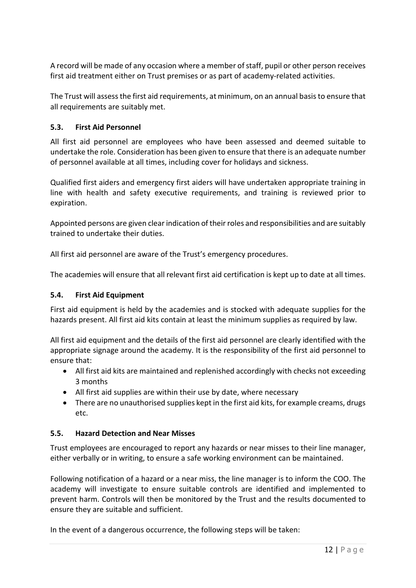A record will be made of any occasion where a member of staff, pupil or other person receives first aid treatment either on Trust premises or as part of academy-related activities.

The Trust will assess the first aid requirements, at minimum, on an annual basis to ensure that all requirements are suitably met.

## **5.3. First Aid Personnel**

All first aid personnel are employees who have been assessed and deemed suitable to undertake the role. Consideration has been given to ensure that there is an adequate number of personnel available at all times, including cover for holidays and sickness.

Qualified first aiders and emergency first aiders will have undertaken appropriate training in line with health and safety executive requirements, and training is reviewed prior to expiration.

Appointed persons are given clear indication of their roles and responsibilities and are suitably trained to undertake their duties.

All first aid personnel are aware of the Trust's emergency procedures.

The academies will ensure that all relevant first aid certification is kept up to date at all times.

#### **5.4. First Aid Equipment**

First aid equipment is held by the academies and is stocked with adequate supplies for the hazards present. All first aid kits contain at least the minimum supplies as required by law.

All first aid equipment and the details of the first aid personnel are clearly identified with the appropriate signage around the academy. It is the responsibility of the first aid personnel to ensure that:

- All first aid kits are maintained and replenished accordingly with checks not exceeding 3 months
- All first aid supplies are within their use by date, where necessary
- There are no unauthorised supplies kept in the first aid kits, for example creams, drugs etc.

#### **5.5. Hazard Detection and Near Misses**

Trust employees are encouraged to report any hazards or near misses to their line manager, either verbally or in writing, to ensure a safe working environment can be maintained.

Following notification of a hazard or a near miss, the line manager is to inform the COO. The academy will investigate to ensure suitable controls are identified and implemented to prevent harm. Controls will then be monitored by the Trust and the results documented to ensure they are suitable and sufficient.

In the event of a dangerous occurrence, the following steps will be taken: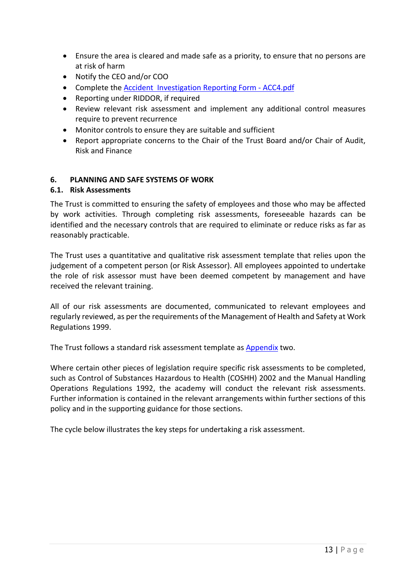- Ensure the area is cleared and made safe as a priority, to ensure that no persons are at risk of harm
- Notify the CEO and/or COO
- Complete the Accident Investigation Reporting Form ACC4.pdf
- Reporting under RIDDOR, if required
- Review relevant risk assessment and implement any additional control measures require to prevent recurrence
- Monitor controls to ensure they are suitable and sufficient
- Report appropriate concerns to the Chair of the Trust Board and/or Chair of Audit, Risk and Finance

#### <span id="page-12-0"></span>**6. PLANNING AND SAFE SYSTEMS OF WORK**

#### **6.1. Risk Assessments**

The Trust is committed to ensuring the safety of employees and those who may be affected by work activities. Through completing risk assessments, foreseeable hazards can be identified and the necessary controls that are required to eliminate or reduce risks as far as reasonably practicable.

The Trust uses a quantitative and qualitative risk assessment template that relies upon the judgement of a competent person (or Risk Assessor). All employees appointed to undertake the role of risk assessor must have been deemed competent by management and have received the relevant training.

All of our risk assessments are documented, communicated to relevant employees and regularly reviewed, as per the requirements of the Management of Health and Safety at Work Regulations 1999.

The Trust follows a standard risk assessment template as Appendix two.

Where certain other pieces of legislation require specific risk assessments to be completed, such as Control of Substances Hazardous to Health (COSHH) 2002 and the Manual Handling Operations Regulations 1992, the academy will conduct the relevant risk assessments. Further information is contained in the relevant arrangements within further sections of this policy and in the supporting guidance for those sections.

The cycle below illustrates the key steps for undertaking a risk assessment.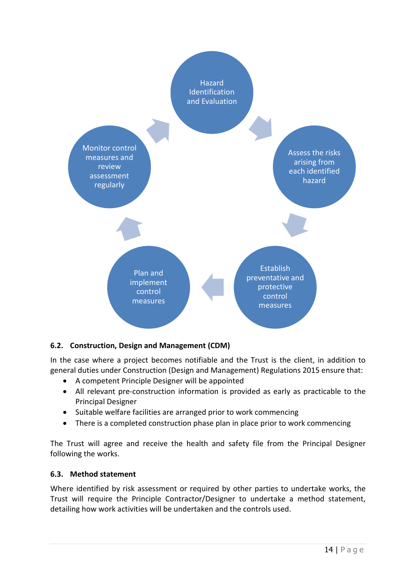

## **6.2. Construction, Design and Management (CDM)**

In the case where a project becomes notifiable and the Trust is the client, in addition to general duties under Construction (Design and Management) Regulations 2015 ensure that:

- A competent Principle Designer will be appointed
- All relevant pre-construction information is provided as early as practicable to the Principal Designer
- Suitable welfare facilities are arranged prior to work commencing
- There is a completed construction phase plan in place prior to work commencing

The Trust will agree and receive the health and safety file from the Principal Designer following the works.

#### **6.3. Method statement**

Where identified by risk assessment or required by other parties to undertake works, the Trust will require the Principle Contractor/Designer to undertake a method statement, detailing how work activities will be undertaken and the controls used.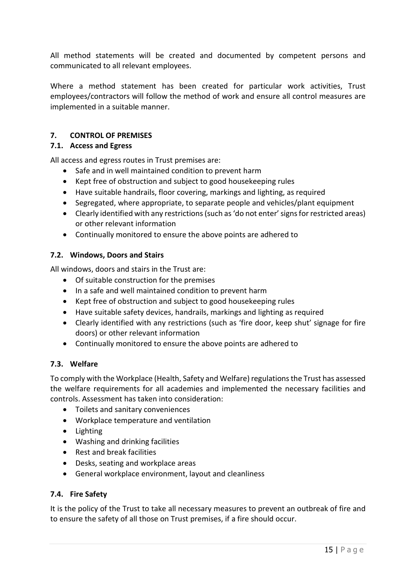All method statements will be created and documented by competent persons and communicated to all relevant employees.

Where a method statement has been created for particular work activities, Trust employees/contractors will follow the method of work and ensure all control measures are implemented in a suitable manner.

## <span id="page-14-0"></span>**7. CONTROL OF PREMISES**

#### **7.1. Access and Egress**

All access and egress routes in Trust premises are:

- Safe and in well maintained condition to prevent harm
- Kept free of obstruction and subject to good housekeeping rules
- Have suitable handrails, floor covering, markings and lighting, as required
- Segregated, where appropriate, to separate people and vehicles/plant equipment
- Clearly identified with any restrictions (such as 'do not enter' signs for restricted areas) or other relevant information
- Continually monitored to ensure the above points are adhered to

#### **7.2. Windows, Doors and Stairs**

All windows, doors and stairs in the Trust are:

- Of suitable construction for the premises
- In a safe and well maintained condition to prevent harm
- Kept free of obstruction and subject to good housekeeping rules
- Have suitable safety devices, handrails, markings and lighting as required
- Clearly identified with any restrictions (such as 'fire door, keep shut' signage for fire doors) or other relevant information
- Continually monitored to ensure the above points are adhered to

#### **7.3. Welfare**

To comply with the Workplace (Health, Safety and Welfare) regulations the Trust has assessed the welfare requirements for all academies and implemented the necessary facilities and controls. Assessment has taken into consideration:

- Toilets and sanitary conveniences
- Workplace temperature and ventilation
- Lighting
- Washing and drinking facilities
- Rest and break facilities
- Desks, seating and workplace areas
- General workplace environment, layout and cleanliness

#### **7.4. Fire Safety**

It is the policy of the Trust to take all necessary measures to prevent an outbreak of fire and to ensure the safety of all those on Trust premises, if a fire should occur.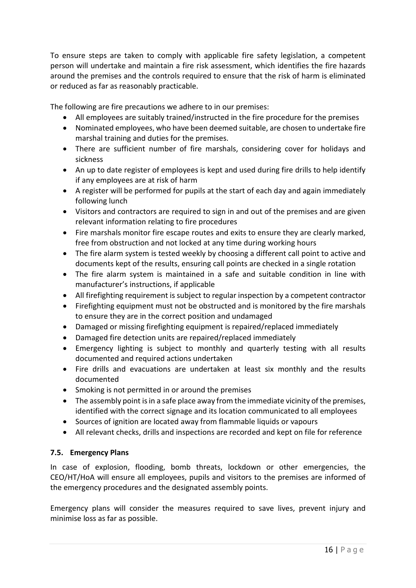To ensure steps are taken to comply with applicable fire safety legislation, a competent person will undertake and maintain a fire risk assessment, which identifies the fire hazards around the premises and the controls required to ensure that the risk of harm is eliminated or reduced as far as reasonably practicable.

The following are fire precautions we adhere to in our premises:

- All employees are suitably trained/instructed in the fire procedure for the premises
- Nominated employees, who have been deemed suitable, are chosen to undertake fire marshal training and duties for the premises.
- There are sufficient number of fire marshals, considering cover for holidays and sickness
- An up to date register of employees is kept and used during fire drills to help identify if any employees are at risk of harm
- A register will be performed for pupils at the start of each day and again immediately following lunch
- Visitors and contractors are required to sign in and out of the premises and are given relevant information relating to fire procedures
- Fire marshals monitor fire escape routes and exits to ensure they are clearly marked, free from obstruction and not locked at any time during working hours
- The fire alarm system is tested weekly by choosing a different call point to active and documents kept of the results, ensuring call points are checked in a single rotation
- The fire alarm system is maintained in a safe and suitable condition in line with manufacturer's instructions, if applicable
- All firefighting requirement is subject to regular inspection by a competent contractor
- Firefighting equipment must not be obstructed and is monitored by the fire marshals to ensure they are in the correct position and undamaged
- Damaged or missing firefighting equipment is repaired/replaced immediately
- Damaged fire detection units are repaired/replaced immediately
- Emergency lighting is subject to monthly and quarterly testing with all results documented and required actions undertaken
- Fire drills and evacuations are undertaken at least six monthly and the results documented
- Smoking is not permitted in or around the premises
- The assembly point is in a safe place away from the immediate vicinity of the premises, identified with the correct signage and its location communicated to all employees
- Sources of ignition are located away from flammable liquids or vapours
- All relevant checks, drills and inspections are recorded and kept on file for reference

#### **7.5. Emergency Plans**

In case of explosion, flooding, bomb threats, lockdown or other emergencies, the CEO/HT/HoA will ensure all employees, pupils and visitors to the premises are informed of the emergency procedures and the designated assembly points.

Emergency plans will consider the measures required to save lives, prevent injury and minimise loss as far as possible.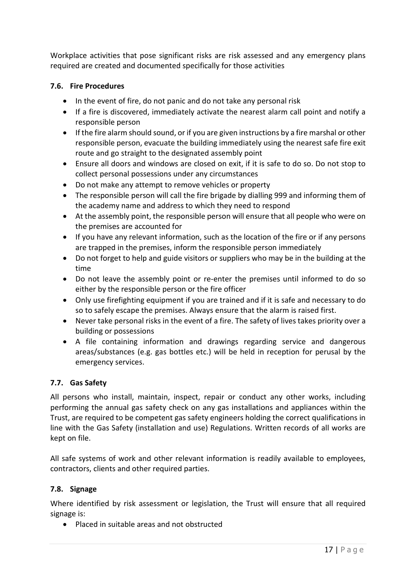Workplace activities that pose significant risks are risk assessed and any emergency plans required are created and documented specifically for those activities

## **7.6. Fire Procedures**

- In the event of fire, do not panic and do not take any personal risk
- If a fire is discovered, immediately activate the nearest alarm call point and notify a responsible person
- If the fire alarm should sound, or if you are given instructions by a fire marshal or other responsible person, evacuate the building immediately using the nearest safe fire exit route and go straight to the designated assembly point
- Ensure all doors and windows are closed on exit, if it is safe to do so. Do not stop to collect personal possessions under any circumstances
- Do not make any attempt to remove vehicles or property
- The responsible person will call the fire brigade by dialling 999 and informing them of the academy name and address to which they need to respond
- At the assembly point, the responsible person will ensure that all people who were on the premises are accounted for
- If you have any relevant information, such as the location of the fire or if any persons are trapped in the premises, inform the responsible person immediately
- Do not forget to help and guide visitors or suppliers who may be in the building at the time
- Do not leave the assembly point or re-enter the premises until informed to do so either by the responsible person or the fire officer
- Only use firefighting equipment if you are trained and if it is safe and necessary to do so to safely escape the premises. Always ensure that the alarm is raised first.
- Never take personal risks in the event of a fire. The safety of lives takes priority over a building or possessions
- A file containing information and drawings regarding service and dangerous areas/substances (e.g. gas bottles etc.) will be held in reception for perusal by the emergency services.

#### **7.7. Gas Safety**

All persons who install, maintain, inspect, repair or conduct any other works, including performing the annual gas safety check on any gas installations and appliances within the Trust, are required to be competent gas safety engineers holding the correct qualifications in line with the Gas Safety (installation and use) Regulations. Written records of all works are kept on file.

All safe systems of work and other relevant information is readily available to employees, contractors, clients and other required parties.

#### **7.8. Signage**

Where identified by risk assessment or legislation, the Trust will ensure that all required signage is:

• Placed in suitable areas and not obstructed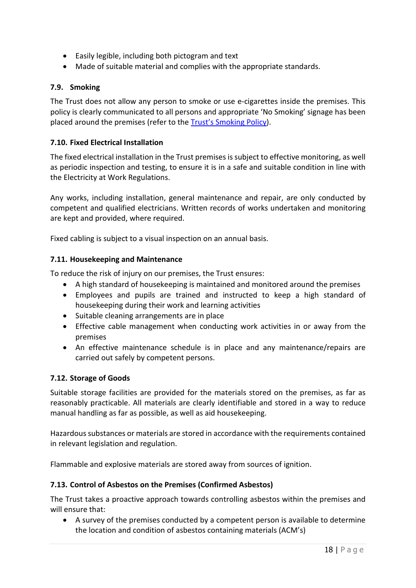- Easily legible, including both pictogram and text
- Made of suitable material and complies with the appropriate standards.

#### **7.9. Smoking**

The Trust does not allow any person to smoke or use e-cigarettes inside the premises. This policy is clearly communicated to all persons and appropriate 'No Smoking' signage has been placed around the premises (refer to the Trust's Smoking Policy).

## **7.10. Fixed Electrical Installation**

The fixed electrical installation in the Trust premises is subject to effective monitoring, as well as periodic inspection and testing, to ensure it is in a safe and suitable condition in line with the Electricity at Work Regulations.

Any works, including installation, general maintenance and repair, are only conducted by competent and qualified electricians. Written records of works undertaken and monitoring are kept and provided, where required.

Fixed cabling is subject to a visual inspection on an annual basis.

#### **7.11. Housekeeping and Maintenance**

To reduce the risk of injury on our premises, the Trust ensures:

- A high standard of housekeeping is maintained and monitored around the premises
- Employees and pupils are trained and instructed to keep a high standard of housekeeping during their work and learning activities
- Suitable cleaning arrangements are in place
- Effective cable management when conducting work activities in or away from the premises
- An effective maintenance schedule is in place and any maintenance/repairs are carried out safely by competent persons.

#### **7.12. Storage of Goods**

Suitable storage facilities are provided for the materials stored on the premises, as far as reasonably practicable. All materials are clearly identifiable and stored in a way to reduce manual handling as far as possible, as well as aid housekeeping.

Hazardous substances or materials are stored in accordance with the requirements contained in relevant legislation and regulation.

Flammable and explosive materials are stored away from sources of ignition.

#### **7.13. Control of Asbestos on the Premises (Confirmed Asbestos)**

The Trust takes a proactive approach towards controlling asbestos within the premises and will ensure that:

• A survey of the premises conducted by a competent person is available to determine the location and condition of asbestos containing materials (ACM's)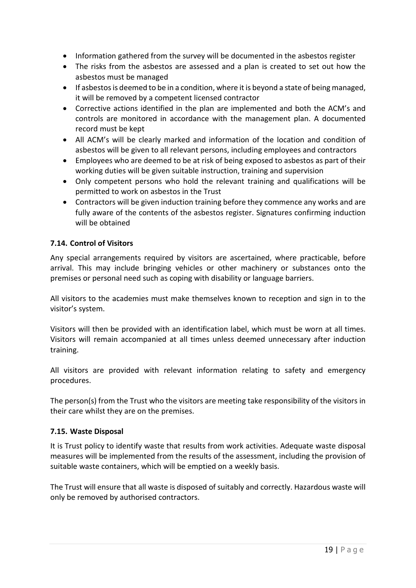- Information gathered from the survey will be documented in the asbestos register
- The risks from the asbestos are assessed and a plan is created to set out how the asbestos must be managed
- If asbestos is deemed to be in a condition, where it is beyond a state of being managed, it will be removed by a competent licensed contractor
- Corrective actions identified in the plan are implemented and both the ACM's and controls are monitored in accordance with the management plan. A documented record must be kept
- All ACM's will be clearly marked and information of the location and condition of asbestos will be given to all relevant persons, including employees and contractors
- Employees who are deemed to be at risk of being exposed to asbestos as part of their working duties will be given suitable instruction, training and supervision
- Only competent persons who hold the relevant training and qualifications will be permitted to work on asbestos in the Trust
- Contractors will be given induction training before they commence any works and are fully aware of the contents of the asbestos register. Signatures confirming induction will be obtained

## **7.14. Control of Visitors**

Any special arrangements required by visitors are ascertained, where practicable, before arrival. This may include bringing vehicles or other machinery or substances onto the premises or personal need such as coping with disability or language barriers.

All visitors to the academies must make themselves known to reception and sign in to the visitor's system.

Visitors will then be provided with an identification label, which must be worn at all times. Visitors will remain accompanied at all times unless deemed unnecessary after induction training.

All visitors are provided with relevant information relating to safety and emergency procedures.

The person(s) from the Trust who the visitors are meeting take responsibility of the visitors in their care whilst they are on the premises.

#### **7.15. Waste Disposal**

It is Trust policy to identify waste that results from work activities. Adequate waste disposal measures will be implemented from the results of the assessment, including the provision of suitable waste containers, which will be emptied on a weekly basis.

The Trust will ensure that all waste is disposed of suitably and correctly. Hazardous waste will only be removed by authorised contractors.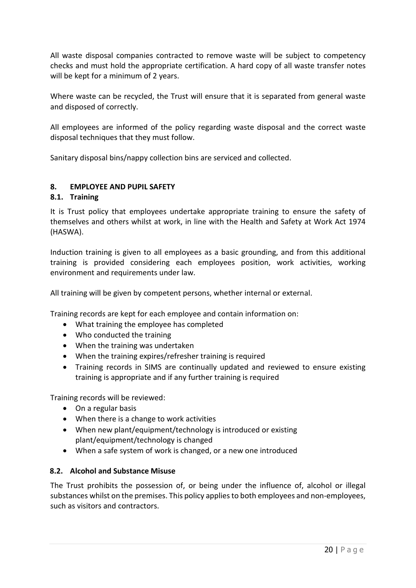All waste disposal companies contracted to remove waste will be subject to competency checks and must hold the appropriate certification. A hard copy of all waste transfer notes will be kept for a minimum of 2 years.

Where waste can be recycled, the Trust will ensure that it is separated from general waste and disposed of correctly.

All employees are informed of the policy regarding waste disposal and the correct waste disposal techniques that they must follow.

Sanitary disposal bins/nappy collection bins are serviced and collected.

#### <span id="page-19-0"></span>**8. EMPLOYEE AND PUPIL SAFETY**

#### **8.1. Training**

It is Trust policy that employees undertake appropriate training to ensure the safety of themselves and others whilst at work, in line with the Health and Safety at Work Act 1974 (HASWA).

Induction training is given to all employees as a basic grounding, and from this additional training is provided considering each employees position, work activities, working environment and requirements under law.

All training will be given by competent persons, whether internal or external.

Training records are kept for each employee and contain information on:

- What training the employee has completed
- Who conducted the training
- When the training was undertaken
- When the training expires/refresher training is required
- Training records in SIMS are continually updated and reviewed to ensure existing training is appropriate and if any further training is required

Training records will be reviewed:

- On a regular basis
- When there is a change to work activities
- When new plant/equipment/technology is introduced or existing plant/equipment/technology is changed
- When a safe system of work is changed, or a new one introduced

#### **8.2. Alcohol and Substance Misuse**

The Trust prohibits the possession of, or being under the influence of, alcohol or illegal substances whilst on the premises. This policy applies to both employees and non-employees, such as visitors and contractors.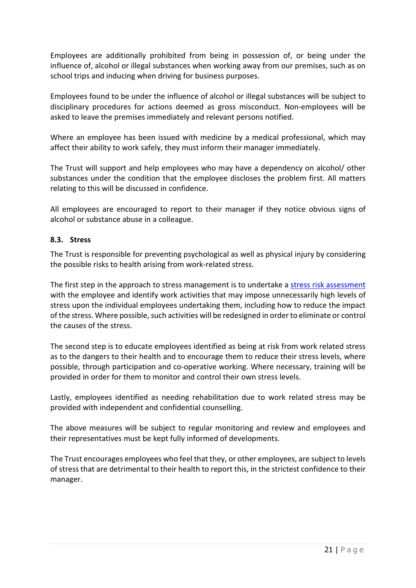Employees are additionally prohibited from being in possession of, or being under the influence of, alcohol or illegal substances when working away from our premises, such as on school trips and inducing when driving for business purposes.

Employees found to be under the influence of alcohol or illegal substances will be subject to disciplinary procedures for actions deemed as gross misconduct. Non-employees will be asked to leave the premises immediately and relevant persons notified.

Where an employee has been issued with medicine by a medical professional, which may affect their ability to work safely, they must inform their manager immediately.

The Trust will support and help employees who may have a dependency on alcohol/ other substances under the condition that the employee discloses the problem first. All matters relating to this will be discussed in confidence.

All employees are encouraged to report to their manager if they notice obvious signs of alcohol or substance abuse in a colleague.

#### **8.3. Stress**

The Trust is responsible for preventing psychological as well as physical injury by considering the possible risks to health arising from work-related stress.

The first step in the approach to stress management is to undertake a [stress risk assessment](file://oit-roamfs-sofs/tveshared$/Master%20Documents/Stress%20Risk%20Assessment%20Form%20-%20Nov%202017.docx) with the employee and identify work activities that may impose unnecessarily high levels of stress upon the individual employees undertaking them, including how to reduce the impact of the stress. Where possible, such activities will be redesigned in order to eliminate or control the causes of the stress.

The second step is to educate employees identified as being at risk from work related stress as to the dangers to their health and to encourage them to reduce their stress levels, where possible, through participation and co-operative working. Where necessary, training will be provided in order for them to monitor and control their own stress levels.

Lastly, employees identified as needing rehabilitation due to work related stress may be provided with independent and confidential counselling.

The above measures will be subject to regular monitoring and review and employees and their representatives must be kept fully informed of developments.

The Trust encourages employees who feel that they, or other employees, are subject to levels of stress that are detrimental to their health to report this, in the strictest confidence to their manager.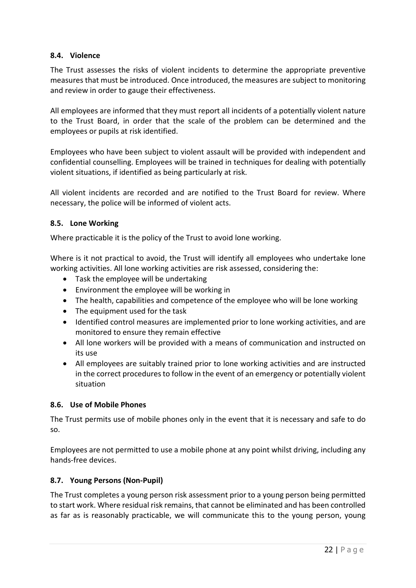#### **8.4. Violence**

The Trust assesses the risks of violent incidents to determine the appropriate preventive measures that must be introduced. Once introduced, the measures are subject to monitoring and review in order to gauge their effectiveness.

All employees are informed that they must report all incidents of a potentially violent nature to the Trust Board, in order that the scale of the problem can be determined and the employees or pupils at risk identified.

Employees who have been subject to violent assault will be provided with independent and confidential counselling. Employees will be trained in techniques for dealing with potentially violent situations, if identified as being particularly at risk.

All violent incidents are recorded and are notified to the Trust Board for review. Where necessary, the police will be informed of violent acts.

#### **8.5. Lone Working**

Where practicable it is the policy of the Trust to avoid lone working.

Where is it not practical to avoid, the Trust will identify all employees who undertake lone working activities. All lone working activities are risk assessed, considering the:

- Task the employee will be undertaking
- Environment the employee will be working in
- The health, capabilities and competence of the employee who will be lone working
- The equipment used for the task
- Identified control measures are implemented prior to lone working activities, and are monitored to ensure they remain effective
- All lone workers will be provided with a means of communication and instructed on its use
- All employees are suitably trained prior to lone working activities and are instructed in the correct procedures to follow in the event of an emergency or potentially violent situation

#### **8.6. Use of Mobile Phones**

The Trust permits use of mobile phones only in the event that it is necessary and safe to do so.

Employees are not permitted to use a mobile phone at any point whilst driving, including any hands-free devices.

#### **8.7. Young Persons (Non-Pupil)**

The Trust completes a young person risk assessment prior to a young person being permitted to start work. Where residual risk remains, that cannot be eliminated and has been controlled as far as is reasonably practicable, we will communicate this to the young person, young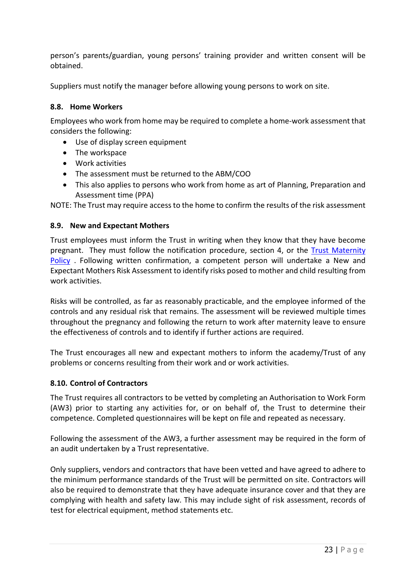person's parents/guardian, young persons' training provider and written consent will be obtained.

Suppliers must notify the manager before allowing young persons to work on site.

#### **8.8. Home Workers**

Employees who work from home may be required to complete a home-work assessment that considers the following:

- Use of display screen equipment
- The workspace
- Work activities
- The assessment must be returned to the ABM/COO
- This also applies to persons who work from home as art of Planning, Preparation and Assessment time (PPA)

NOTE: The Trust may require access to the home to confirm the results of the risk assessment

#### **8.9. New and Expectant Mothers**

Trust employees must inform the Trust in writing when they know that they have become pregnant. They must follow the notification procedure, section 4, or the [Trust Maternity](file://oit-roamfs-sofs/tveshared$/Policies/Maternity%20Policy.pdf)  [Policy](file://oit-roamfs-sofs/tveshared$/Policies/Maternity%20Policy.pdf) . Following written confirmation, a competent person will undertake a New and Expectant Mothers Risk Assessment to identify risks posed to mother and child resulting from work activities.

Risks will be controlled, as far as reasonably practicable, and the employee informed of the controls and any residual risk that remains. The assessment will be reviewed multiple times throughout the pregnancy and following the return to work after maternity leave to ensure the effectiveness of controls and to identify if further actions are required.

The Trust encourages all new and expectant mothers to inform the academy/Trust of any problems or concerns resulting from their work and or work activities.

#### **8.10. Control of Contractors**

The Trust requires all contractors to be vetted by completing an Authorisation to Work Form (AW3) prior to starting any activities for, or on behalf of, the Trust to determine their competence. Completed questionnaires will be kept on file and repeated as necessary.

Following the assessment of the AW3, a further assessment may be required in the form of an audit undertaken by a Trust representative.

Only suppliers, vendors and contractors that have been vetted and have agreed to adhere to the minimum performance standards of the Trust will be permitted on site. Contractors will also be required to demonstrate that they have adequate insurance cover and that they are complying with health and safety law. This may include sight of risk assessment, records of test for electrical equipment, method statements etc.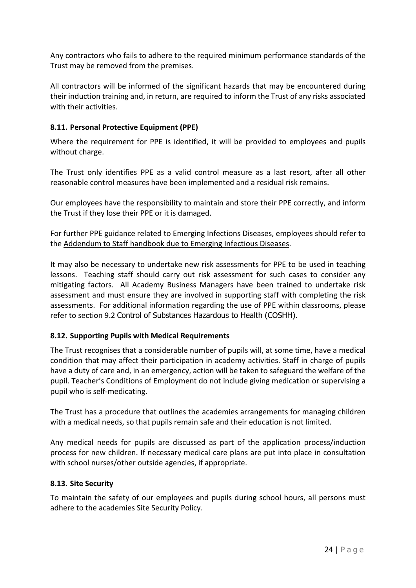Any contractors who fails to adhere to the required minimum performance standards of the Trust may be removed from the premises.

All contractors will be informed of the significant hazards that may be encountered during their induction training and, in return, are required to inform the Trust of any risks associated with their activities.

## **8.11. Personal Protective Equipment (PPE)**

Where the requirement for PPE is identified, it will be provided to employees and pupils without charge.

The Trust only identifies PPE as a valid control measure as a last resort, after all other reasonable control measures have been implemented and a residual risk remains.

Our employees have the responsibility to maintain and store their PPE correctly, and inform the Trust if they lose their PPE or it is damaged.

For further PPE guidance related to Emerging Infections Diseases, employees should refer to the [Addendum to Staff handbook due to Emerging Infectious Diseases.](file://oit-roamfs-sofs/tveshared$/Policies/v2.1%20ADDENDUM%20TO%20STAFF%20HANDBOOK%20DUE%20TO%20EMERGING%20INFECTIOUS%20DISEASES%20Jan_21.docx)

It may also be necessary to undertake new risk assessments for PPE to be used in teaching lessons. Teaching staff should carry out risk assessment for such cases to consider any mitigating factors. All Academy Business Managers have been trained to undertake risk assessment and must ensure they are involved in supporting staff with completing the risk assessments. For additional information regarding the use of PPE within classrooms, please refer to section 9.2 [Control of Substances Hazardous to Health \(COSHH\)](#page-24-1).

#### **8.12. Supporting Pupils with Medical Requirements**

The Trust recognises that a considerable number of pupils will, at some time, have a medical condition that may affect their participation in academy activities. Staff in charge of pupils have a duty of care and, in an emergency, action will be taken to safeguard the welfare of the pupil. Teacher's Conditions of Employment do not include giving medication or supervising a pupil who is self-medicating.

The Trust has a procedure that outlines the academies arrangements for managing children with a medical needs, so that pupils remain safe and their education is not limited.

Any medical needs for pupils are discussed as part of the application process/induction process for new children. If necessary medical care plans are put into place in consultation with school nurses/other outside agencies, if appropriate.

#### **8.13. Site Security**

To maintain the safety of our employees and pupils during school hours, all persons must adhere to the academies Site Security Policy.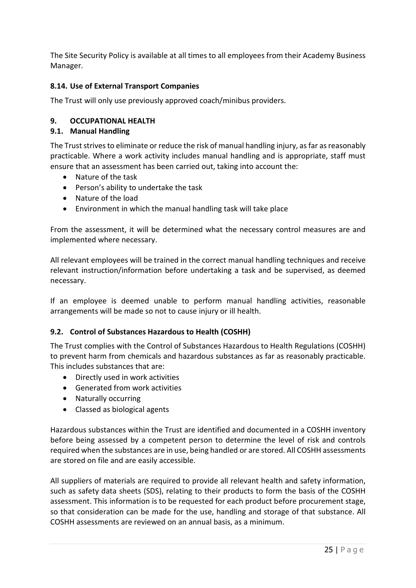The Site Security Policy is available at all times to all employees from their Academy Business Manager.

## **8.14. Use of External Transport Companies**

The Trust will only use previously approved coach/minibus providers.

## <span id="page-24-0"></span>**9. OCCUPATIONAL HEALTH**

#### **9.1. Manual Handling**

The Trust strives to eliminate or reduce the risk of manual handling injury, as far as reasonably practicable. Where a work activity includes manual handling and is appropriate, staff must ensure that an assessment has been carried out, taking into account the:

- Nature of the task
- Person's ability to undertake the task
- Nature of the load
- Environment in which the manual handling task will take place

From the assessment, it will be determined what the necessary control measures are and implemented where necessary.

All relevant employees will be trained in the correct manual handling techniques and receive relevant instruction/information before undertaking a task and be supervised, as deemed necessary.

If an employee is deemed unable to perform manual handling activities, reasonable arrangements will be made so not to cause injury or ill health.

#### <span id="page-24-1"></span>**9.2. Control of Substances Hazardous to Health (COSHH)**

The Trust complies with the Control of Substances Hazardous to Health Regulations (COSHH) to prevent harm from chemicals and hazardous substances as far as reasonably practicable. This includes substances that are:

- Directly used in work activities
- Generated from work activities
- Naturally occurring
- Classed as biological agents

Hazardous substances within the Trust are identified and documented in a COSHH inventory before being assessed by a competent person to determine the level of risk and controls required when the substances are in use, being handled or are stored. All COSHH assessments are stored on file and are easily accessible.

All suppliers of materials are required to provide all relevant health and safety information, such as safety data sheets (SDS), relating to their products to form the basis of the COSHH assessment. This information is to be requested for each product before procurement stage, so that consideration can be made for the use, handling and storage of that substance. All COSHH assessments are reviewed on an annual basis, as a minimum.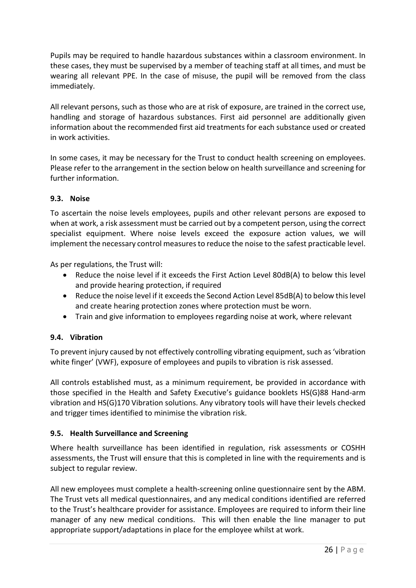Pupils may be required to handle hazardous substances within a classroom environment. In these cases, they must be supervised by a member of teaching staff at all times, and must be wearing all relevant PPE. In the case of misuse, the pupil will be removed from the class immediately.

All relevant persons, such as those who are at risk of exposure, are trained in the correct use, handling and storage of hazardous substances. First aid personnel are additionally given information about the recommended first aid treatments for each substance used or created in work activities.

In some cases, it may be necessary for the Trust to conduct health screening on employees. Please refer to the arrangement in the section below on health surveillance and screening for further information.

## **9.3. Noise**

To ascertain the noise levels employees, pupils and other relevant persons are exposed to when at work, a risk assessment must be carried out by a competent person, using the correct specialist equipment. Where noise levels exceed the exposure action values, we will implement the necessary control measures to reduce the noise to the safest practicable level.

As per regulations, the Trust will:

- Reduce the noise level if it exceeds the First Action Level 80dB(A) to below this level and provide hearing protection, if required
- Reduce the noise level if it exceeds the Second Action Level 85dB(A) to below this level and create hearing protection zones where protection must be worn.
- Train and give information to employees regarding noise at work, where relevant

#### **9.4. Vibration**

To prevent injury caused by not effectively controlling vibrating equipment, such as 'vibration white finger' (VWF), exposure of employees and pupils to vibration is risk assessed.

All controls established must, as a minimum requirement, be provided in accordance with those specified in the Health and Safety Executive's guidance booklets HS(G)88 Hand-arm vibration and HS(G)170 Vibration solutions. Any vibratory tools will have their levels checked and trigger times identified to minimise the vibration risk.

#### **9.5. Health Surveillance and Screening**

Where health surveillance has been identified in regulation, risk assessments or COSHH assessments, the Trust will ensure that this is completed in line with the requirements and is subject to regular review.

All new employees must complete a health-screening online questionnaire sent by the ABM. The Trust vets all medical questionnaires, and any medical conditions identified are referred to the Trust's healthcare provider for assistance. Employees are required to inform their line manager of any new medical conditions. This will then enable the line manager to put appropriate support/adaptations in place for the employee whilst at work.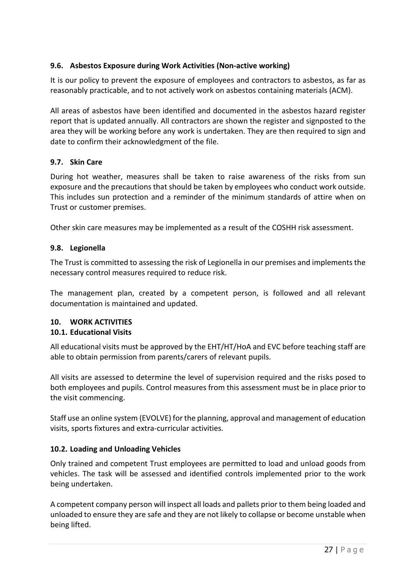## **9.6. Asbestos Exposure during Work Activities (Non-active working)**

It is our policy to prevent the exposure of employees and contractors to asbestos, as far as reasonably practicable, and to not actively work on asbestos containing materials (ACM).

All areas of asbestos have been identified and documented in the asbestos hazard register report that is updated annually. All contractors are shown the register and signposted to the area they will be working before any work is undertaken. They are then required to sign and date to confirm their acknowledgment of the file.

#### **9.7. Skin Care**

During hot weather, measures shall be taken to raise awareness of the risks from sun exposure and the precautions that should be taken by employees who conduct work outside. This includes sun protection and a reminder of the minimum standards of attire when on Trust or customer premises.

Other skin care measures may be implemented as a result of the COSHH risk assessment.

## **9.8. Legionella**

The Trust is committed to assessing the risk of Legionella in our premises and implements the necessary control measures required to reduce risk.

The management plan, created by a competent person, is followed and all relevant documentation is maintained and updated.

#### <span id="page-26-0"></span>**10. WORK ACTIVITIES**

## **10.1. Educational Visits**

All educational visits must be approved by the EHT/HT/HoA and EVC before teaching staff are able to obtain permission from parents/carers of relevant pupils.

All visits are assessed to determine the level of supervision required and the risks posed to both employees and pupils. Control measures from this assessment must be in place prior to the visit commencing.

Staff use an online system (EVOLVE) for the planning, approval and management of education visits, sports fixtures and extra-curricular activities.

#### **10.2. Loading and Unloading Vehicles**

Only trained and competent Trust employees are permitted to load and unload goods from vehicles. The task will be assessed and identified controls implemented prior to the work being undertaken.

A competent company person will inspect all loads and pallets prior to them being loaded and unloaded to ensure they are safe and they are not likely to collapse or become unstable when being lifted.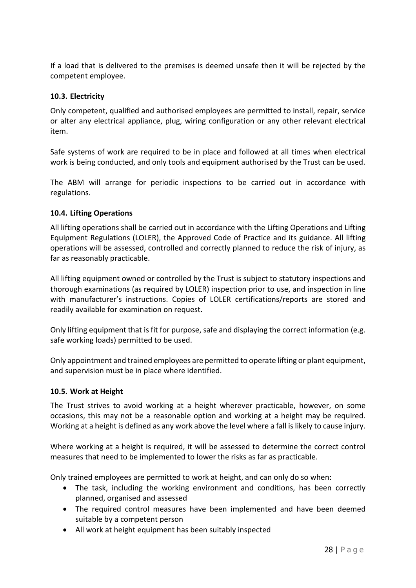If a load that is delivered to the premises is deemed unsafe then it will be rejected by the competent employee.

#### **10.3. Electricity**

Only competent, qualified and authorised employees are permitted to install, repair, service or alter any electrical appliance, plug, wiring configuration or any other relevant electrical item.

Safe systems of work are required to be in place and followed at all times when electrical work is being conducted, and only tools and equipment authorised by the Trust can be used.

The ABM will arrange for periodic inspections to be carried out in accordance with regulations.

#### **10.4. Lifting Operations**

All lifting operations shall be carried out in accordance with the Lifting Operations and Lifting Equipment Regulations (LOLER), the Approved Code of Practice and its guidance. All lifting operations will be assessed, controlled and correctly planned to reduce the risk of injury, as far as reasonably practicable.

All lifting equipment owned or controlled by the Trust is subject to statutory inspections and thorough examinations (as required by LOLER) inspection prior to use, and inspection in line with manufacturer's instructions. Copies of LOLER certifications/reports are stored and readily available for examination on request.

Only lifting equipment that is fit for purpose, safe and displaying the correct information (e.g. safe working loads) permitted to be used.

Only appointment and trained employees are permitted to operate lifting or plant equipment, and supervision must be in place where identified.

#### **10.5. Work at Height**

The Trust strives to avoid working at a height wherever practicable, however, on some occasions, this may not be a reasonable option and working at a height may be required. Working at a height is defined as any work above the level where a fall is likely to cause injury.

Where working at a height is required, it will be assessed to determine the correct control measures that need to be implemented to lower the risks as far as practicable.

Only trained employees are permitted to work at height, and can only do so when:

- The task, including the working environment and conditions, has been correctly planned, organised and assessed
- The required control measures have been implemented and have been deemed suitable by a competent person
- All work at height equipment has been suitably inspected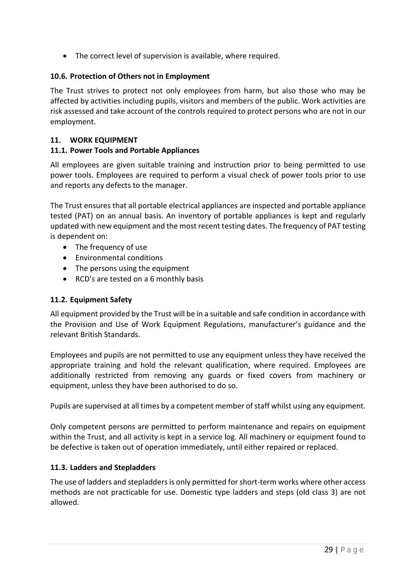• The correct level of supervision is available, where required.

## **10.6. Protection of Others not in Employment**

The Trust strives to protect not only employees from harm, but also those who may be affected by activities including pupils, visitors and members of the public. Work activities are risk assessed and take account of the controls required to protect persons who are not in our employment.

## <span id="page-28-0"></span>**11. WORK EQUIPMENT**

## **11.1. Power Tools and Portable Appliances**

All employees are given suitable training and instruction prior to being permitted to use power tools. Employees are required to perform a visual check of power tools prior to use and reports any defects to the manager.

The Trust ensures that all portable electrical appliances are inspected and portable appliance tested (PAT) on an annual basis. An inventory of portable appliances is kept and regularly updated with new equipment and the most recent testing dates. The frequency of PAT testing is dependent on:

- The frequency of use
- Environmental conditions
- The persons using the equipment
- RCD's are tested on a 6 monthly basis

#### **11.2. Equipment Safety**

All equipment provided by the Trust will be in a suitable and safe condition in accordance with the Provision and Use of Work Equipment Regulations, manufacturer's guidance and the relevant British Standards.

Employees and pupils are not permitted to use any equipment unless they have received the appropriate training and hold the relevant qualification, where required. Employees are additionally restricted from removing any guards or fixed covers from machinery or equipment, unless they have been authorised to do so.

Pupils are supervised at all times by a competent member of staff whilst using any equipment.

Only competent persons are permitted to perform maintenance and repairs on equipment within the Trust, and all activity is kept in a service log. All machinery or equipment found to be defective is taken out of operation immediately, until either repaired or replaced.

#### **11.3. Ladders and Stepladders**

The use of ladders and stepladders is only permitted for short-term works where other access methods are not practicable for use. Domestic type ladders and steps (old class 3) are not allowed.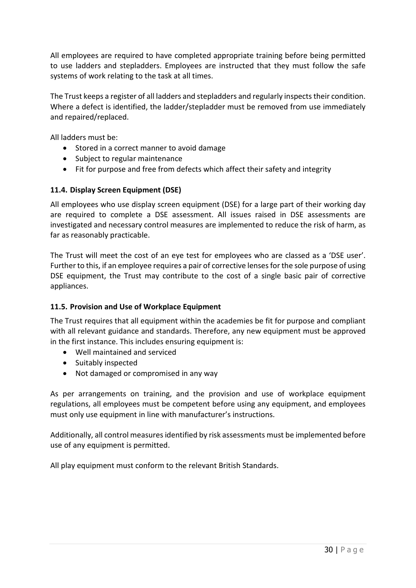All employees are required to have completed appropriate training before being permitted to use ladders and stepladders. Employees are instructed that they must follow the safe systems of work relating to the task at all times.

The Trust keeps a register of all ladders and stepladders and regularly inspects their condition. Where a defect is identified, the ladder/stepladder must be removed from use immediately and repaired/replaced.

All ladders must be:

- Stored in a correct manner to avoid damage
- Subject to regular maintenance
- Fit for purpose and free from defects which affect their safety and integrity

#### **11.4. Display Screen Equipment (DSE)**

All employees who use display screen equipment (DSE) for a large part of their working day are required to complete a DSE assessment. All issues raised in DSE assessments are investigated and necessary control measures are implemented to reduce the risk of harm, as far as reasonably practicable.

The Trust will meet the cost of an eye test for employees who are classed as a 'DSE user'. Further to this, if an employee requires a pair of corrective lenses for the sole purpose of using DSE equipment, the Trust may contribute to the cost of a single basic pair of corrective appliances.

#### **11.5. Provision and Use of Workplace Equipment**

The Trust requires that all equipment within the academies be fit for purpose and compliant with all relevant guidance and standards. Therefore, any new equipment must be approved in the first instance. This includes ensuring equipment is:

- Well maintained and serviced
- Suitably inspected
- Not damaged or compromised in any way

As per arrangements on training, and the provision and use of workplace equipment regulations, all employees must be competent before using any equipment, and employees must only use equipment in line with manufacturer's instructions.

Additionally, all control measures identified by risk assessments must be implemented before use of any equipment is permitted.

All play equipment must conform to the relevant British Standards.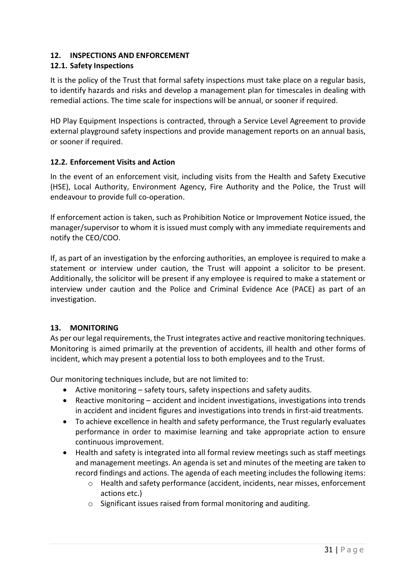## <span id="page-30-0"></span>**12. INSPECTIONS AND ENFORCEMENT**

## **12.1. Safety Inspections**

It is the policy of the Trust that formal safety inspections must take place on a regular basis, to identify hazards and risks and develop a management plan for timescales in dealing with remedial actions. The time scale for inspections will be annual, or sooner if required.

HD Play Equipment Inspections is contracted, through a Service Level Agreement to provide external playground safety inspections and provide management reports on an annual basis, or sooner if required.

#### **12.2. Enforcement Visits and Action**

In the event of an enforcement visit, including visits from the Health and Safety Executive (HSE), Local Authority, Environment Agency, Fire Authority and the Police, the Trust will endeavour to provide full co-operation.

If enforcement action is taken, such as Prohibition Notice or Improvement Notice issued, the manager/supervisor to whom it is issued must comply with any immediate requirements and notify the CEO/COO.

If, as part of an investigation by the enforcing authorities, an employee is required to make a statement or interview under caution, the Trust will appoint a solicitor to be present. Additionally, the solicitor will be present if any employee is required to make a statement or interview under caution and the Police and Criminal Evidence Ace (PACE) as part of an investigation.

## <span id="page-30-1"></span>**13. MONITORING**

As per our legal requirements, the Trust integrates active and reactive monitoring techniques. Monitoring is aimed primarily at the prevention of accidents, ill health and other forms of incident, which may present a potential loss to both employees and to the Trust.

Our monitoring techniques include, but are not limited to:

- Active monitoring safety tours, safety inspections and safety audits.
- Reactive monitoring accident and incident investigations, investigations into trends in accident and incident figures and investigations into trends in first-aid treatments.
- To achieve excellence in health and safety performance, the Trust regularly evaluates performance in order to maximise learning and take appropriate action to ensure continuous improvement.
- Health and safety is integrated into all formal review meetings such as staff meetings and management meetings. An agenda is set and minutes of the meeting are taken to record findings and actions. The agenda of each meeting includes the following items:
	- o Health and safety performance (accident, incidents, near misses, enforcement actions etc.)
	- o Significant issues raised from formal monitoring and auditing.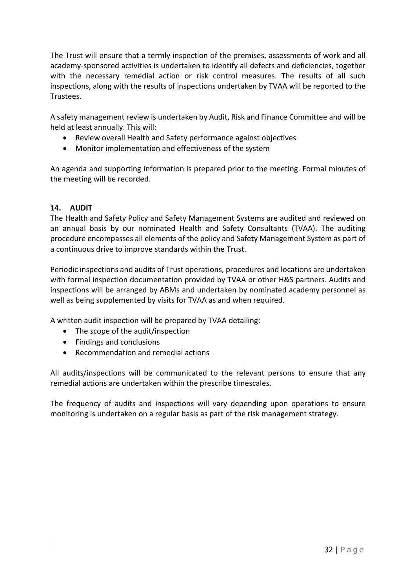The Trust will ensure that a termly inspection of the premises, assessments of work and all academy-sponsored activities is undertaken to identify all defects and deficiencies, together with the necessary remedial action or risk control measures. The results of all such inspections, along with the results of inspections undertaken by TVAA will be reported to the Trustees.

A safety management review is undertaken by Audit, Risk and Finance Committee and will be held at least annually. This will:

- Review overall Health and Safety performance against objectives
- Monitor implementation and effectiveness of the system

An agenda and supporting information is prepared prior to the meeting. Formal minutes of the meeting will be recorded.

#### <span id="page-31-0"></span>**14. AUDIT**

The Health and Safety Policy and Safety Management Systems are audited and reviewed on an annual basis by our nominated Health and Safety Consultants (TVAA). The auditing procedure encompasses all elements of the policy and Safety Management System as part of a continuous drive to improve standards within the Trust.

Periodic inspections and audits of Trust operations, procedures and locations are undertaken with formal inspection documentation provided by TVAA or other H&S partners. Audits and inspections will be arranged by ABMs and undertaken by nominated academy personnel as well as being supplemented by visits for TVAA as and when required.

A written audit inspection will be prepared by TVAA detailing:

- The scope of the audit/inspection
- Findings and conclusions
- Recommendation and remedial actions

All audits/inspections will be communicated to the relevant persons to ensure that any remedial actions are undertaken within the prescribe timescales.

The frequency of audits and inspections will vary depending upon operations to ensure monitoring is undertaken on a regular basis as part of the risk management strategy.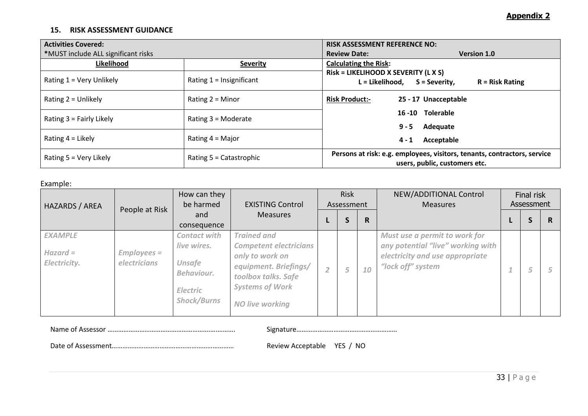#### **15. RISK ASSESSMENT GUIDANCE**

| <b>Activities Covered:</b>          |                            | <b>RISK ASSESSMENT REFERENCE NO:</b>                                                                      |                    |  |  |  |
|-------------------------------------|----------------------------|-----------------------------------------------------------------------------------------------------------|--------------------|--|--|--|
| *MUST include ALL significant risks |                            | <b>Review Date:</b>                                                                                       | <b>Version 1.0</b> |  |  |  |
| Likelihood                          | <b>Severity</b>            | <b>Calculating the Risk:</b>                                                                              |                    |  |  |  |
| Rating 1 = Very Unlikely            | Rating $1 =$ Insignificant | Risk = LIKELIHOOD X SEVERITY (L X S)<br>L = Likelihood,<br>S = Severity,                                  | $R =$ Risk Rating  |  |  |  |
| Rating $2 =$ Unlikely               | Rating $2 =$ Minor         | <b>Risk Product:-</b><br>25 - 17 Unacceptable                                                             |                    |  |  |  |
| Rating $3 =$ Fairly Likely          | Rating $3 =$ Moderate      | 16-10 Tolerable<br>Adequate<br>$9 - 5$                                                                    |                    |  |  |  |
| Rating $4 =$ Likely                 | Rating $4 =$ Major         | Acceptable<br>$4 - 1$                                                                                     |                    |  |  |  |
| Rating $5 = V$ ery Likely           | Rating $5 =$ Catastrophic  | Persons at risk: e.g. employees, visitors, tenants, contractors, service<br>users, public, customers etc. |                    |  |  |  |

Example:

<span id="page-32-0"></span>

| HAZARDS / AREA                               |                              | How can they<br>be harmed<br><b>EXISTING Control</b>                                                       |                                                                                                                                                                            | <b>Risk</b><br>Assessment |   |    | NEW/ADDITIONAL Control<br><b>Measures</b>                                                                                  |  | Final risk<br>Assessment |   |
|----------------------------------------------|------------------------------|------------------------------------------------------------------------------------------------------------|----------------------------------------------------------------------------------------------------------------------------------------------------------------------------|---------------------------|---|----|----------------------------------------------------------------------------------------------------------------------------|--|--------------------------|---|
|                                              | People at Risk               | and<br>consequence                                                                                         | <b>Measures</b>                                                                                                                                                            |                           | э | R. |                                                                                                                            |  | Э                        | R |
| <b>EXAMPLE</b><br>$Hazard =$<br>Electricity. | $Employes =$<br>electricians | <b>Contact with</b><br>live wires.<br><b>Unsafe</b><br>Behaviour.<br><b>Electric</b><br><b>Shock/Burns</b> | <b>Trained and</b><br><b>Competent electricians</b><br>only to work on<br>equipment. Briefings/<br>toolbox talks. Safe<br><b>Systems of Work</b><br><b>NO live working</b> | $\overline{2}$            |   | 10 | Must use a permit to work for<br>any potential "live" working with<br>electricity and use appropriate<br>"lock off" system |  | ÷<br>5                   |   |

Name of Assessor ………………………………………………….….………. Signature…………………………………………………

Date of Assessment…………………………………………………………… Review Acceptable YES / NO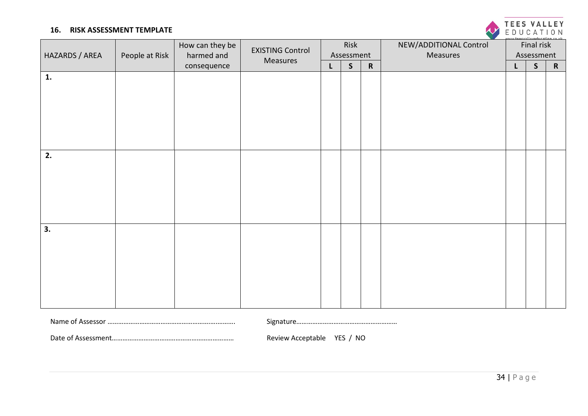#### **16. RISK ASSESSMENT TEMPLATE**

|                |                | How can they be<br>harmed and | <b>EXISTING Control</b><br>Measures | Risk |              |             | NEW/ADDITIONAL Control |   | Final risk   |           |
|----------------|----------------|-------------------------------|-------------------------------------|------|--------------|-------------|------------------------|---|--------------|-----------|
| HAZARDS / AREA | People at Risk |                               |                                     |      | Assessment   |             | Measures               |   | Assessment   |           |
|                |                | consequence                   |                                     | L    | $\mathsf{S}$ | $\mathbf R$ |                        | L | $\mathsf{S}$ | ${\bf R}$ |
| 1.             |                |                               |                                     |      |              |             |                        |   |              |           |
|                |                |                               |                                     |      |              |             |                        |   |              |           |
|                |                |                               |                                     |      |              |             |                        |   |              |           |
|                |                |                               |                                     |      |              |             |                        |   |              |           |
|                |                |                               |                                     |      |              |             |                        |   |              |           |
|                |                |                               |                                     |      |              |             |                        |   |              |           |
|                |                |                               |                                     |      |              |             |                        |   |              |           |
| 2.             |                |                               |                                     |      |              |             |                        |   |              |           |
|                |                |                               |                                     |      |              |             |                        |   |              |           |
|                |                |                               |                                     |      |              |             |                        |   |              |           |
|                |                |                               |                                     |      |              |             |                        |   |              |           |
|                |                |                               |                                     |      |              |             |                        |   |              |           |
|                |                |                               |                                     |      |              |             |                        |   |              |           |
| 3.             |                |                               |                                     |      |              |             |                        |   |              |           |
|                |                |                               |                                     |      |              |             |                        |   |              |           |
|                |                |                               |                                     |      |              |             |                        |   |              |           |
|                |                |                               |                                     |      |              |             |                        |   |              |           |
|                |                |                               |                                     |      |              |             |                        |   |              |           |
|                |                |                               |                                     |      |              |             |                        |   |              |           |
|                |                |                               |                                     |      |              |             |                        |   |              |           |
|                |                |                               |                                     |      |              |             |                        |   |              |           |
|                |                |                               |                                     |      |              |             |                        |   |              |           |

<span id="page-33-0"></span>

| Signature |  |
|-----------|--|
|-----------|--|

Date of Assessment…………………………………………………………… Review Acceptable YES / NO



Name of Assessor ………………………………………………….….………. Signature…………………………………………………